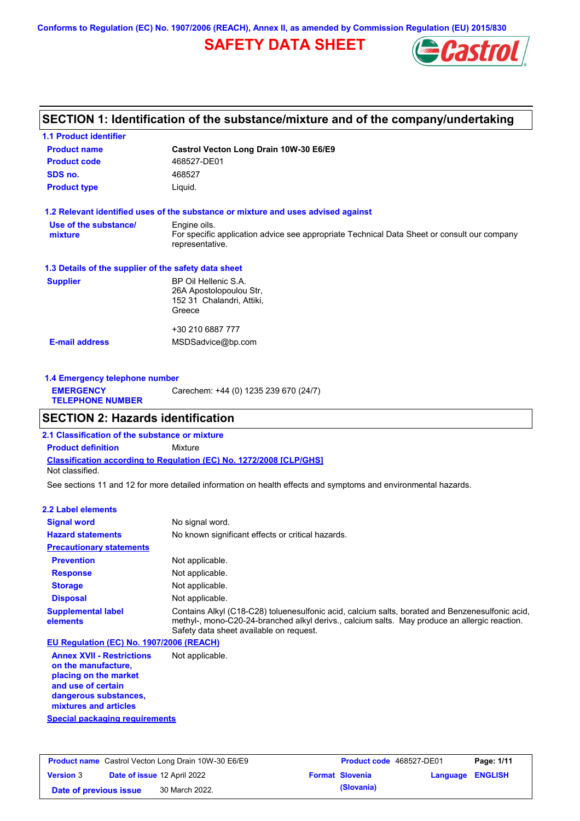**Conforms to Regulation (EC) No. 1907/2006 (REACH), Annex II, as amended by Commission Regulation (EU) 2015/830**

# **SAFETY DATA SHEET**



# **SECTION 1: Identification of the substance/mixture and of the company/undertaking**

| <b>1.1 Product identifier</b>                        |                                                                                                                |
|------------------------------------------------------|----------------------------------------------------------------------------------------------------------------|
| <b>Product name</b>                                  | Castrol Vecton Long Drain 10W-30 E6/E9                                                                         |
| <b>Product code</b>                                  | 468527-DE01                                                                                                    |
| SDS no.                                              | 468527                                                                                                         |
| <b>Product type</b>                                  | Liquid.                                                                                                        |
|                                                      | 1.2 Relevant identified uses of the substance or mixture and uses advised against                              |
| Use of the substance/                                | Engine oils.                                                                                                   |
| mixture                                              | For specific application advice see appropriate Technical Data Sheet or consult our company<br>representative. |
| 1.3 Details of the supplier of the safety data sheet |                                                                                                                |
| <b>Supplier</b>                                      | BP Oil Hellenic S.A.                                                                                           |
|                                                      | 26A Apostolopoulou Str.                                                                                        |
|                                                      | 152 31 Chalandri, Attiki,<br>Greece                                                                            |
|                                                      |                                                                                                                |
|                                                      | +30 210 6887 777                                                                                               |
| <b>E-mail address</b>                                | MSDSadvice@bp.com                                                                                              |
|                                                      |                                                                                                                |
|                                                      |                                                                                                                |

| 1.4 Emergency telephone number              |                                       |  |  |
|---------------------------------------------|---------------------------------------|--|--|
| <b>EMERGENCY</b><br><b>TELEPHONE NUMBER</b> | Carechem: +44 (0) 1235 239 670 (24/7) |  |  |

# **SECTION 2: Hazards identification**

**Classification according to Regulation (EC) No. 1272/2008 [CLP/GHS] 2.1 Classification of the substance or mixture Product definition** Mixture Not classified.

See sections 11 and 12 for more detailed information on health effects and symptoms and environmental hazards.

### **2.2 Label elements**

| <b>Signal word</b>                       | No signal word.                                                                                                                                                                                                                             |
|------------------------------------------|---------------------------------------------------------------------------------------------------------------------------------------------------------------------------------------------------------------------------------------------|
| <b>Hazard statements</b>                 | No known significant effects or critical hazards.                                                                                                                                                                                           |
| <b>Precautionary statements</b>          |                                                                                                                                                                                                                                             |
| <b>Prevention</b>                        | Not applicable.                                                                                                                                                                                                                             |
| <b>Response</b>                          | Not applicable.                                                                                                                                                                                                                             |
| <b>Storage</b>                           | Not applicable.                                                                                                                                                                                                                             |
| <b>Disposal</b>                          | Not applicable.                                                                                                                                                                                                                             |
| <b>Supplemental label</b><br>elements    | Contains Alkyl (C18-C28) toluenesulfonic acid, calcium salts, borated and Benzenesulfonic acid,<br>methyl-, mono-C20-24-branched alkyl derivs., calcium salts. May produce an allergic reaction.<br>Safety data sheet available on request. |
| EU Regulation (EC) No. 1907/2006 (REACH) |                                                                                                                                                                                                                                             |
| America MMI Deptated and Alet confirmity |                                                                                                                                                                                                                                             |

**Annex XVII - Restrictions on the manufacture, placing on the market and use of certain dangerous substances, mixtures and articles** Not applicable.

**Special packaging requirements**

| <b>Product name</b> Castrol Vecton Long Drain 10W-30 E6/E9 |  |                                    | <b>Product code</b> 468527-DE01 |                  | Page: 1/11 |
|------------------------------------------------------------|--|------------------------------------|---------------------------------|------------------|------------|
| <b>Version 3</b>                                           |  | <b>Date of issue 12 April 2022</b> | <b>Format Slovenia</b>          | Language ENGLISH |            |
| Date of previous issue                                     |  | 30 March 2022.                     | (Slovania)                      |                  |            |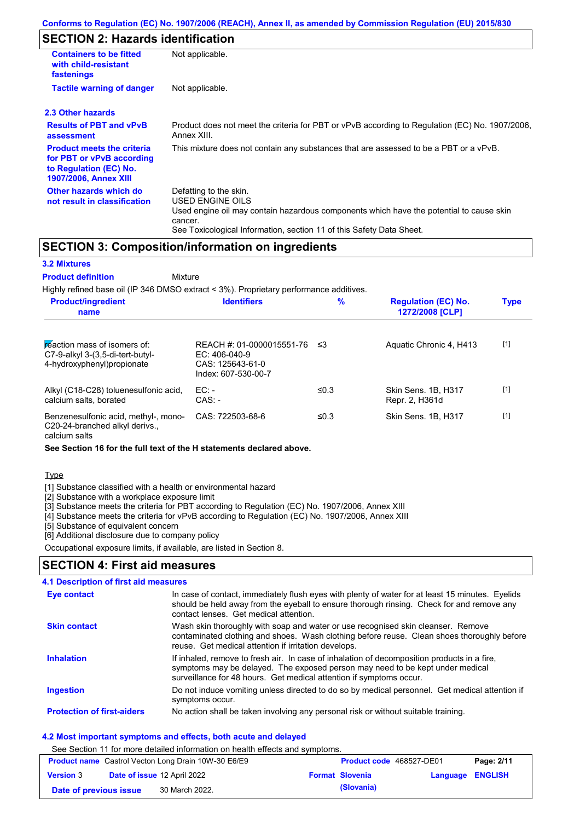# **SECTION 2: Hazards identification**

| <b>Containers to be fitted</b><br>with child-resistant<br>fastenings                                                     | Not applicable.                                                                                                                                                                                                                 |  |  |
|--------------------------------------------------------------------------------------------------------------------------|---------------------------------------------------------------------------------------------------------------------------------------------------------------------------------------------------------------------------------|--|--|
| <b>Tactile warning of danger</b><br>Not applicable.                                                                      |                                                                                                                                                                                                                                 |  |  |
| 2.3 Other hazards                                                                                                        |                                                                                                                                                                                                                                 |  |  |
| <b>Results of PBT and vPvB</b><br>assessment                                                                             | Product does not meet the criteria for PBT or vPvB according to Regulation (EC) No. 1907/2006,<br>Annex XIII.                                                                                                                   |  |  |
| <b>Product meets the criteria</b><br>for PBT or vPvB according<br>to Regulation (EC) No.<br><b>1907/2006, Annex XIII</b> | This mixture does not contain any substances that are assessed to be a PBT or a vPvB.                                                                                                                                           |  |  |
| Other hazards which do<br>not result in classification                                                                   | Defatting to the skin.<br><b>USED ENGINE OILS</b><br>Used engine oil may contain hazardous components which have the potential to cause skin<br>cancer.<br>See Toxicological Information, section 11 of this Safety Data Sheet. |  |  |

### **SECTION 3: Composition/information on ingredients**

### **3.2 Mixtures**

#### **Mixture Product definition**

Highly refined base oil (IP 346 DMSO extract < 3%). Proprietary performance additives.

| <b>Product/ingredient</b><br>name                                                                 | <b>Identifiers</b>                                                                      | $\%$ | <b>Regulation (EC) No.</b><br>1272/2008 [CLP] | <b>Type</b> |
|---------------------------------------------------------------------------------------------------|-----------------------------------------------------------------------------------------|------|-----------------------------------------------|-------------|
| reaction mass of isomers of:<br>$C7-9-alkyl$ 3-(3,5-di-tert-butyl-<br>4-hydroxyphenyl) propionate | REACH #: 01-0000015551-76<br>$EC: 406-040-9$<br>CAS: 125643-61-0<br>Index: 607-530-00-7 | ≤3   | Aquatic Chronic 4, H413                       | $[1]$       |
| Alkyl (C18-C28) toluenesulfonic acid,<br>calcium salts, borated                                   | EC:<br>$CAS: -$                                                                         | ≤0.3 | Skin Sens, 1B, H317<br>Repr. 2, H361d         | $[1]$       |
| Benzenesulfonic acid, methyl-, mono-<br>C20-24-branched alkyl derivs.,<br>calcium salts           | CAS: 722503-68-6                                                                        | ≤0.3 | Skin Sens, 1B, H317                           | $[1]$       |

#### **See Section 16 for the full text of the H statements declared above.**

### **Type**

[1] Substance classified with a health or environmental hazard

[2] Substance with a workplace exposure limit

[3] Substance meets the criteria for PBT according to Regulation (EC) No. 1907/2006, Annex XIII

[4] Substance meets the criteria for vPvB according to Regulation (EC) No. 1907/2006, Annex XIII

[5] Substance of equivalent concern

[6] Additional disclosure due to company policy

Occupational exposure limits, if available, are listed in Section 8.

# **SECTION 4: First aid measures**

#### Do not induce vomiting unless directed to do so by medical personnel. Get medical attention if symptoms occur. In case of contact, immediately flush eyes with plenty of water for at least 15 minutes. Eyelids should be held away from the eyeball to ensure thorough rinsing. Check for and remove any contact lenses. Get medical attention. **4.1 Description of first aid measures** If inhaled, remove to fresh air. In case of inhalation of decomposition products in a fire, symptoms may be delayed. The exposed person may need to be kept under medical surveillance for 48 hours. Get medical attention if symptoms occur. **Ingestion Inhalation Eye contact Protection of first-aiders** No action shall be taken involving any personal risk or without suitable training. **Skin contact** Wash skin thoroughly with soap and water or use recognised skin cleanser. Remove contaminated clothing and shoes. Wash clothing before reuse. Clean shoes thoroughly before reuse. Get medical attention if irritation develops.

### **4.2 Most important symptoms and effects, both acute and delayed**

See Section 11 for more detailed information on health effects and symptoms.

| <b>Product name</b> Castrol Vecton Long Drain 10W-30 E6/E9 |  |                                    | <b>Product code</b> 468527-DE01 |                         | Page: 2/11 |
|------------------------------------------------------------|--|------------------------------------|---------------------------------|-------------------------|------------|
| <b>Version 3</b>                                           |  | <b>Date of issue 12 April 2022</b> | <b>Format Slovenia</b>          | <b>Language ENGLISH</b> |            |
| Date of previous issue                                     |  | 30 March 2022.                     | (Slovania)                      |                         |            |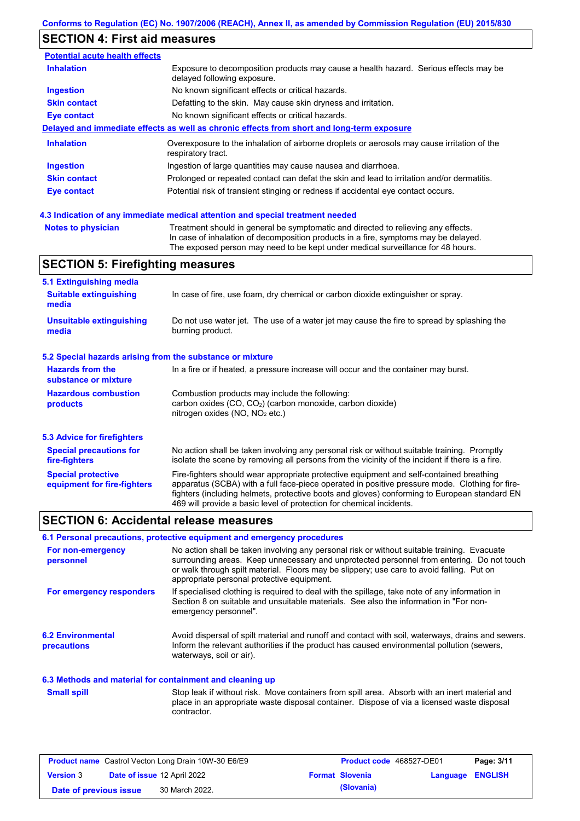# **SECTION 4: First aid measures**

| <b>Potential acute health effects</b> |                                                                                                                     |
|---------------------------------------|---------------------------------------------------------------------------------------------------------------------|
| <b>Inhalation</b>                     | Exposure to decomposition products may cause a health hazard. Serious effects may be<br>delayed following exposure. |
| <b>Ingestion</b>                      | No known significant effects or critical hazards.                                                                   |
| <b>Skin contact</b>                   | Defatting to the skin. May cause skin dryness and irritation.                                                       |
| Eye contact                           | No known significant effects or critical hazards.                                                                   |
|                                       | Delayed and immediate effects as well as chronic effects from short and long-term exposure                          |
| <b>Inhalation</b>                     | Overexposure to the inhalation of airborne droplets or aerosols may cause irritation of the<br>respiratory tract.   |
| <b>Ingestion</b>                      | Ingestion of large quantities may cause nausea and diarrhoea.                                                       |
| <b>Skin contact</b>                   | Prolonged or repeated contact can defat the skin and lead to irritation and/or dermatitis.                          |
| Eye contact                           | Potential risk of transient stinging or redness if accidental eye contact occurs.                                   |

### **4.3 Indication of any immediate medical attention and special treatment needed**

```
Notes to physician Treatment should in general be symptomatic and directed to relieving any effects.
                   In case of inhalation of decomposition products in a fire, symptoms may be delayed.
                   The exposed person may need to be kept under medical surveillance for 48 hours.
```
# **SECTION 5: Firefighting measures**

| 5.1 Extinguishing media                                                                                                                                                                                     |                                                                                                                                                                                                                                                                                                                                                                   |  |  |  |
|-------------------------------------------------------------------------------------------------------------------------------------------------------------------------------------------------------------|-------------------------------------------------------------------------------------------------------------------------------------------------------------------------------------------------------------------------------------------------------------------------------------------------------------------------------------------------------------------|--|--|--|
| <b>Suitable extinguishing</b><br>In case of fire, use foam, dry chemical or carbon dioxide extinguisher or spray.<br>media                                                                                  |                                                                                                                                                                                                                                                                                                                                                                   |  |  |  |
| <b>Unsuitable extinguishing</b><br>Do not use water jet. The use of a water jet may cause the fire to spread by splashing the<br>burning product.<br>media                                                  |                                                                                                                                                                                                                                                                                                                                                                   |  |  |  |
| 5.2 Special hazards arising from the substance or mixture                                                                                                                                                   |                                                                                                                                                                                                                                                                                                                                                                   |  |  |  |
| <b>Hazards from the</b><br>substance or mixture                                                                                                                                                             | In a fire or if heated, a pressure increase will occur and the container may burst.                                                                                                                                                                                                                                                                               |  |  |  |
| <b>Hazardous combustion</b><br>Combustion products may include the following:<br>carbon oxides (CO, CO <sub>2</sub> ) (carbon monoxide, carbon dioxide)<br>products<br>nitrogen oxides ( $NO$ , $NO2$ etc.) |                                                                                                                                                                                                                                                                                                                                                                   |  |  |  |
| <b>5.3 Advice for firefighters</b>                                                                                                                                                                          |                                                                                                                                                                                                                                                                                                                                                                   |  |  |  |
| <b>Special precautions for</b><br>fire-fighters                                                                                                                                                             | No action shall be taken involving any personal risk or without suitable training. Promptly<br>isolate the scene by removing all persons from the vicinity of the incident if there is a fire.                                                                                                                                                                    |  |  |  |
| <b>Special protective</b><br>equipment for fire-fighters                                                                                                                                                    | Fire-fighters should wear appropriate protective equipment and self-contained breathing<br>apparatus (SCBA) with a full face-piece operated in positive pressure mode. Clothing for fire-<br>fighters (including helmets, protective boots and gloves) conforming to European standard EN<br>469 will provide a basic level of protection for chemical incidents. |  |  |  |

### **SECTION 6: Accidental release measures**

### **6.1 Personal precautions, protective equipment and emergency procedures**

| For non-emergency<br>personnel                           | No action shall be taken involving any personal risk or without suitable training. Evacuate<br>surrounding areas. Keep unnecessary and unprotected personnel from entering. Do not touch<br>or walk through spilt material. Floors may be slippery; use care to avoid falling. Put on<br>appropriate personal protective equipment. |
|----------------------------------------------------------|-------------------------------------------------------------------------------------------------------------------------------------------------------------------------------------------------------------------------------------------------------------------------------------------------------------------------------------|
| For emergency responders                                 | If specialised clothing is required to deal with the spillage, take note of any information in<br>Section 8 on suitable and unsuitable materials. See also the information in "For non-<br>emergency personnel".                                                                                                                    |
| <b>6.2 Environmental</b><br>precautions                  | Avoid dispersal of spilt material and runoff and contact with soil, waterways, drains and sewers.<br>Inform the relevant authorities if the product has caused environmental pollution (sewers,<br>waterways, soil or air).                                                                                                         |
| 6.3 Methods and material for containment and cleaning up |                                                                                                                                                                                                                                                                                                                                     |
| <b>Small spill</b>                                       | Stop leak if without risk. Move containers from spill area. Absorb with an inert material and<br>place in an appropriate waste disposal container. Dispose of via a licensed waste disposal<br>contractor.                                                                                                                          |

| <b>Product name</b> Castrol Vecton Long Drain 10W-30 E6/E9 |  |                                    | <b>Product code</b> 468527-DE01 |                         | Page: 3/11 |
|------------------------------------------------------------|--|------------------------------------|---------------------------------|-------------------------|------------|
| <b>Version 3</b>                                           |  | <b>Date of issue 12 April 2022</b> | <b>Format Slovenia</b>          | <b>Language ENGLISH</b> |            |
| Date of previous issue                                     |  | 30 March 2022.                     | (Slovania)                      |                         |            |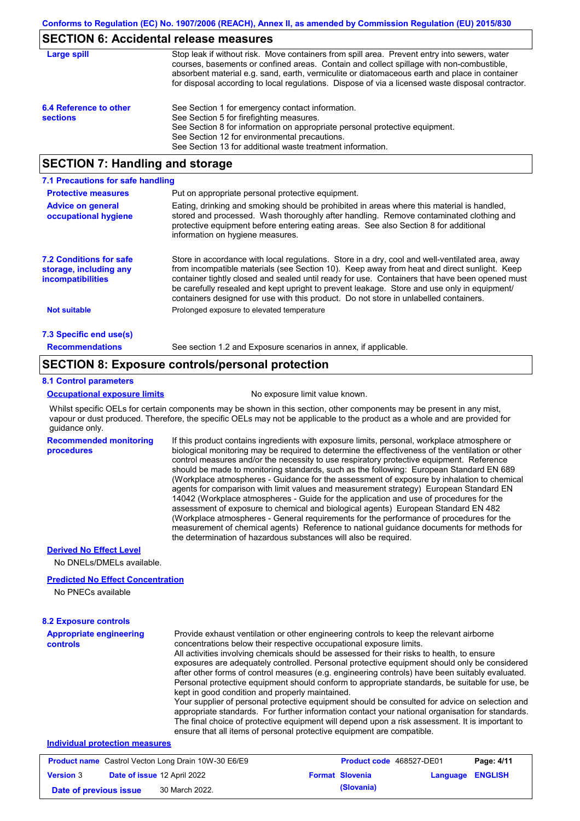# **SECTION 6: Accidental release measures**

| Large spill                               | Stop leak if without risk. Move containers from spill area. Prevent entry into sewers, water<br>courses, basements or confined areas. Contain and collect spillage with non-combustible,<br>absorbent material e.g. sand, earth, vermiculite or diatomaceous earth and place in container<br>for disposal according to local regulations. Dispose of via a licensed waste disposal contractor. |
|-------------------------------------------|------------------------------------------------------------------------------------------------------------------------------------------------------------------------------------------------------------------------------------------------------------------------------------------------------------------------------------------------------------------------------------------------|
| 6.4 Reference to other<br><b>sections</b> | See Section 1 for emergency contact information.<br>See Section 5 for firefighting measures.<br>See Section 8 for information on appropriate personal protective equipment.<br>See Section 12 for environmental precautions.<br>See Section 13 for additional waste treatment information.                                                                                                     |

### **SECTION 7: Handling and storage**

| 7.1 Precautions for safe handling                                                    |                                                                                                                                                                                                                                                                                                                                                                                                                                                                                          |
|--------------------------------------------------------------------------------------|------------------------------------------------------------------------------------------------------------------------------------------------------------------------------------------------------------------------------------------------------------------------------------------------------------------------------------------------------------------------------------------------------------------------------------------------------------------------------------------|
| <b>Protective measures</b>                                                           | Put on appropriate personal protective equipment.                                                                                                                                                                                                                                                                                                                                                                                                                                        |
| <b>Advice on general</b><br>occupational hygiene                                     | Eating, drinking and smoking should be prohibited in areas where this material is handled.<br>stored and processed. Wash thoroughly after handling. Remove contaminated clothing and<br>protective equipment before entering eating areas. See also Section 8 for additional<br>information on hygiene measures.                                                                                                                                                                         |
| <b>7.2 Conditions for safe</b><br>storage, including any<br><i>incompatibilities</i> | Store in accordance with local regulations. Store in a dry, cool and well-ventilated area, away<br>from incompatible materials (see Section 10). Keep away from heat and direct sunlight. Keep<br>container tightly closed and sealed until ready for use. Containers that have been opened must<br>be carefully resealed and kept upright to prevent leakage. Store and use only in equipment/<br>containers designed for use with this product. Do not store in unlabelled containers. |
| <b>Not suitable</b>                                                                  | Prolonged exposure to elevated temperature                                                                                                                                                                                                                                                                                                                                                                                                                                               |
| 7.3 Specific end use(s)                                                              |                                                                                                                                                                                                                                                                                                                                                                                                                                                                                          |
| <b>Recommendations</b>                                                               | See section 1.2 and Exposure scenarios in annex, if applicable.                                                                                                                                                                                                                                                                                                                                                                                                                          |

### **SECTION 8: Exposure controls/personal protection**

#### **8.1 Control parameters**

**procedures**

#### **Occupational exposure limits** No exposure limit value known.

Whilst specific OELs for certain components may be shown in this section, other components may be present in any mist, vapour or dust produced. Therefore, the specific OELs may not be applicable to the product as a whole and are provided for guidance only.

**Recommended monitoring**  If this product contains ingredients with exposure limits, personal, workplace atmosphere or biological monitoring may be required to determine the effectiveness of the ventilation or other control measures and/or the necessity to use respiratory protective equipment. Reference should be made to monitoring standards, such as the following: European Standard EN 689 (Workplace atmospheres - Guidance for the assessment of exposure by inhalation to chemical agents for comparison with limit values and measurement strategy) European Standard EN 14042 (Workplace atmospheres - Guide for the application and use of procedures for the assessment of exposure to chemical and biological agents) European Standard EN 482 (Workplace atmospheres - General requirements for the performance of procedures for the measurement of chemical agents) Reference to national guidance documents for methods for the determination of hazardous substances will also be required.

### **Derived No Effect Level**

No DNELs/DMELs available.

#### **Predicted No Effect Concentration**

No PNECs available

| <b>8.2 Exposure controls</b>               |                                                                                                                                                                                                                                                                                                                                                                                                                                                                                                                                                                                                                                                                                                                                                                                                                                                                                                                                                                                                         |
|--------------------------------------------|---------------------------------------------------------------------------------------------------------------------------------------------------------------------------------------------------------------------------------------------------------------------------------------------------------------------------------------------------------------------------------------------------------------------------------------------------------------------------------------------------------------------------------------------------------------------------------------------------------------------------------------------------------------------------------------------------------------------------------------------------------------------------------------------------------------------------------------------------------------------------------------------------------------------------------------------------------------------------------------------------------|
| <b>Appropriate engineering</b><br>controls | Provide exhaust ventilation or other engineering controls to keep the relevant airborne<br>concentrations below their respective occupational exposure limits.<br>All activities involving chemicals should be assessed for their risks to health, to ensure<br>exposures are adequately controlled. Personal protective equipment should only be considered<br>after other forms of control measures (e.g. engineering controls) have been suitably evaluated.<br>Personal protective equipment should conform to appropriate standards, be suitable for use, be<br>kept in good condition and properly maintained.<br>Your supplier of personal protective equipment should be consulted for advice on selection and<br>appropriate standards. For further information contact your national organisation for standards.<br>The final choice of protective equipment will depend upon a risk assessment. It is important to<br>ensure that all items of personal protective equipment are compatible. |
| Individual protection measures             |                                                                                                                                                                                                                                                                                                                                                                                                                                                                                                                                                                                                                                                                                                                                                                                                                                                                                                                                                                                                         |

| <b>Product name</b> Castrol Vecton Long Drain 10W-30 E6/E9 |  | <b>Product code</b> 468527-DE01    |  | Page: 4/11             |                         |  |
|------------------------------------------------------------|--|------------------------------------|--|------------------------|-------------------------|--|
| <b>Version 3</b>                                           |  | <b>Date of issue 12 April 2022</b> |  | <b>Format Slovenia</b> | <b>Language ENGLISH</b> |  |
| Date of previous issue                                     |  | 30 March 2022.                     |  | (Slovania)             |                         |  |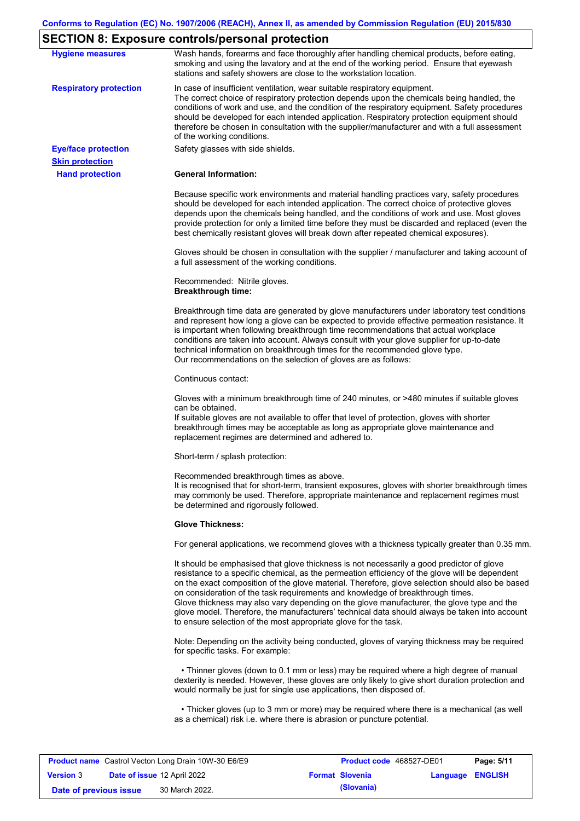# **SECTION 8: Exposure controls/personal protection**

| <b>Hygiene measures</b>                              | Wash hands, forearms and face thoroughly after handling chemical products, before eating,<br>smoking and using the lavatory and at the end of the working period. Ensure that eyewash<br>stations and safety showers are close to the workstation location.                                                                                                                                                                                                                                                                                                                                                                                       |
|------------------------------------------------------|---------------------------------------------------------------------------------------------------------------------------------------------------------------------------------------------------------------------------------------------------------------------------------------------------------------------------------------------------------------------------------------------------------------------------------------------------------------------------------------------------------------------------------------------------------------------------------------------------------------------------------------------------|
| <b>Respiratory protection</b>                        | In case of insufficient ventilation, wear suitable respiratory equipment.<br>The correct choice of respiratory protection depends upon the chemicals being handled, the<br>conditions of work and use, and the condition of the respiratory equipment. Safety procedures<br>should be developed for each intended application. Respiratory protection equipment should<br>therefore be chosen in consultation with the supplier/manufacturer and with a full assessment<br>of the working conditions.                                                                                                                                             |
| <b>Eye/face protection</b><br><b>Skin protection</b> | Safety glasses with side shields.                                                                                                                                                                                                                                                                                                                                                                                                                                                                                                                                                                                                                 |
| <b>Hand protection</b>                               | <b>General Information:</b>                                                                                                                                                                                                                                                                                                                                                                                                                                                                                                                                                                                                                       |
|                                                      | Because specific work environments and material handling practices vary, safety procedures<br>should be developed for each intended application. The correct choice of protective gloves<br>depends upon the chemicals being handled, and the conditions of work and use. Most gloves<br>provide protection for only a limited time before they must be discarded and replaced (even the<br>best chemically resistant gloves will break down after repeated chemical exposures).                                                                                                                                                                  |
|                                                      | Gloves should be chosen in consultation with the supplier / manufacturer and taking account of<br>a full assessment of the working conditions.                                                                                                                                                                                                                                                                                                                                                                                                                                                                                                    |
|                                                      | Recommended: Nitrile gloves.<br><b>Breakthrough time:</b>                                                                                                                                                                                                                                                                                                                                                                                                                                                                                                                                                                                         |
|                                                      | Breakthrough time data are generated by glove manufacturers under laboratory test conditions<br>and represent how long a glove can be expected to provide effective permeation resistance. It<br>is important when following breakthrough time recommendations that actual workplace<br>conditions are taken into account. Always consult with your glove supplier for up-to-date<br>technical information on breakthrough times for the recommended glove type.<br>Our recommendations on the selection of gloves are as follows:                                                                                                                |
|                                                      | Continuous contact:                                                                                                                                                                                                                                                                                                                                                                                                                                                                                                                                                                                                                               |
|                                                      | Gloves with a minimum breakthrough time of 240 minutes, or >480 minutes if suitable gloves<br>can be obtained.<br>If suitable gloves are not available to offer that level of protection, gloves with shorter<br>breakthrough times may be acceptable as long as appropriate glove maintenance and<br>replacement regimes are determined and adhered to.                                                                                                                                                                                                                                                                                          |
|                                                      | Short-term / splash protection:                                                                                                                                                                                                                                                                                                                                                                                                                                                                                                                                                                                                                   |
|                                                      | Recommended breakthrough times as above.<br>It is recognised that for short-term, transient exposures, gloves with shorter breakthrough times<br>may commonly be used. Therefore, appropriate maintenance and replacement regimes must<br>be determined and rigorously followed.                                                                                                                                                                                                                                                                                                                                                                  |
|                                                      | <b>Glove Thickness:</b>                                                                                                                                                                                                                                                                                                                                                                                                                                                                                                                                                                                                                           |
|                                                      | For general applications, we recommend gloves with a thickness typically greater than 0.35 mm.                                                                                                                                                                                                                                                                                                                                                                                                                                                                                                                                                    |
|                                                      | It should be emphasised that glove thickness is not necessarily a good predictor of glove<br>resistance to a specific chemical, as the permeation efficiency of the glove will be dependent<br>on the exact composition of the glove material. Therefore, glove selection should also be based<br>on consideration of the task requirements and knowledge of breakthrough times.<br>Glove thickness may also vary depending on the glove manufacturer, the glove type and the<br>glove model. Therefore, the manufacturers' technical data should always be taken into account<br>to ensure selection of the most appropriate glove for the task. |
|                                                      | Note: Depending on the activity being conducted, gloves of varying thickness may be required<br>for specific tasks. For example:                                                                                                                                                                                                                                                                                                                                                                                                                                                                                                                  |
|                                                      | • Thinner gloves (down to 0.1 mm or less) may be required where a high degree of manual<br>dexterity is needed. However, these gloves are only likely to give short duration protection and<br>would normally be just for single use applications, then disposed of.                                                                                                                                                                                                                                                                                                                                                                              |
|                                                      | • Thicker gloves (up to 3 mm or more) may be required where there is a mechanical (as well<br>as a chemical) risk i.e. where there is abrasion or puncture potential.                                                                                                                                                                                                                                                                                                                                                                                                                                                                             |
|                                                      |                                                                                                                                                                                                                                                                                                                                                                                                                                                                                                                                                                                                                                                   |

| <b>Product name</b> Castrol Vecton Long Drain 10W-30 E6/E9 |  |                                    | <b>Product code</b> 468527-DE01 |                        | Page: 5/11              |  |
|------------------------------------------------------------|--|------------------------------------|---------------------------------|------------------------|-------------------------|--|
| <b>Version 3</b>                                           |  | <b>Date of issue 12 April 2022</b> |                                 | <b>Format Slovenia</b> | <b>Language ENGLISH</b> |  |
| Date of previous issue                                     |  | 30 March 2022.                     |                                 | (Slovania)             |                         |  |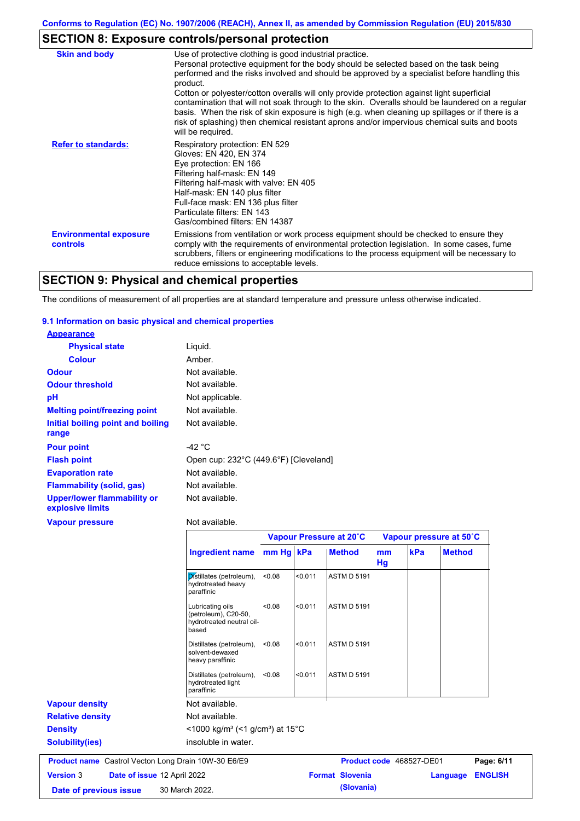# **SECTION 8: Exposure controls/personal protection**

| <b>Skin and body</b>                             | Use of protective clothing is good industrial practice.                                                                                                                                                                                                                                                                                                                                                                                                                                                                                                                                                                    |
|--------------------------------------------------|----------------------------------------------------------------------------------------------------------------------------------------------------------------------------------------------------------------------------------------------------------------------------------------------------------------------------------------------------------------------------------------------------------------------------------------------------------------------------------------------------------------------------------------------------------------------------------------------------------------------------|
|                                                  | Personal protective equipment for the body should be selected based on the task being<br>performed and the risks involved and should be approved by a specialist before handling this<br>product.<br>Cotton or polyester/cotton overalls will only provide protection against light superficial<br>contamination that will not soak through to the skin. Overalls should be laundered on a regular<br>basis. When the risk of skin exposure is high (e.g. when cleaning up spillages or if there is a<br>risk of splashing) then chemical resistant aprons and/or impervious chemical suits and boots<br>will be required. |
| <b>Refer to standards:</b>                       | Respiratory protection: EN 529<br>Gloves: EN 420, EN 374<br>Eye protection: EN 166<br>Filtering half-mask: EN 149<br>Filtering half-mask with valve: EN 405<br>Half-mask: EN 140 plus filter<br>Full-face mask: EN 136 plus filter<br>Particulate filters: EN 143<br>Gas/combined filters: EN 14387                                                                                                                                                                                                                                                                                                                        |
| <b>Environmental exposure</b><br><b>controls</b> | Emissions from ventilation or work process equipment should be checked to ensure they<br>comply with the requirements of environmental protection legislation. In some cases, fume<br>scrubbers, filters or engineering modifications to the process equipment will be necessary to<br>reduce emissions to acceptable levels.                                                                                                                                                                                                                                                                                              |

# **SECTION 9: Physical and chemical properties**

The conditions of measurement of all properties are at standard temperature and pressure unless otherwise indicated.

### **9.1 Information on basic physical and chemical properties**

| <b>Appearance</b>                               |                                       |
|-------------------------------------------------|---------------------------------------|
| <b>Physical state</b>                           | Liquid.                               |
| <b>Colour</b>                                   | Amber.                                |
| <b>Odour</b>                                    | Not available.                        |
| <b>Odour threshold</b>                          | Not available.                        |
| рH                                              | Not applicable.                       |
| <b>Melting point/freezing point</b>             | Not available.                        |
| Initial boiling point and boiling<br>range      | Not available.                        |
| <b>Pour point</b>                               | -42 °C                                |
| <b>Flash point</b>                              | Open cup: 232°C (449.6°F) [Cleveland] |
| <b>Evaporation rate</b>                         | Not available.                        |
| <b>Flammability (solid, gas)</b>                | Not available.                        |
| Upper/lower flammability or<br>explosive limits | Not available.                        |
| <b>Vapour pressure</b>                          | Not available.                        |

|                                                            |                                                                                |           |         | Vapour Pressure at 20°C |          | Vapour pressure at 50°C  |               |                |
|------------------------------------------------------------|--------------------------------------------------------------------------------|-----------|---------|-------------------------|----------|--------------------------|---------------|----------------|
|                                                            | <b>Ingredient name</b>                                                         | mm Hg kPa |         | <b>Method</b>           | mm<br>Hg | kPa                      | <b>Method</b> |                |
|                                                            | Distillates (petroleum),<br>hydrotreated heavy<br>paraffinic                   | < 0.08    | < 0.011 | <b>ASTM D 5191</b>      |          |                          |               |                |
|                                                            | Lubricating oils<br>(petroleum), C20-50,<br>hydrotreated neutral oil-<br>based | < 0.08    | < 0.011 | <b>ASTM D 5191</b>      |          |                          |               |                |
|                                                            | Distillates (petroleum),<br>solvent-dewaxed<br>heavy paraffinic                | < 0.08    | < 0.011 | <b>ASTM D 5191</b>      |          |                          |               |                |
|                                                            | Distillates (petroleum),<br>hydrotreated light<br>paraffinic                   | < 0.08    | < 0.011 | <b>ASTM D 5191</b>      |          |                          |               |                |
| <b>Vapour density</b>                                      | Not available.                                                                 |           |         |                         |          |                          |               |                |
| <b>Relative density</b>                                    | Not available.                                                                 |           |         |                         |          |                          |               |                |
| <b>Density</b>                                             | $<$ 1000 kg/m <sup>3</sup> (<1 g/cm <sup>3</sup> ) at 15 <sup>°</sup> C        |           |         |                         |          |                          |               |                |
| <b>Solubility(ies)</b>                                     | insoluble in water.                                                            |           |         |                         |          |                          |               |                |
| <b>Product name</b> Castrol Vecton Long Drain 10W-30 E6/E9 |                                                                                |           |         |                         |          | Product code 468527-DE01 |               | Page: 6/11     |
| <b>Version 3</b>                                           | Date of issue 12 April 2022                                                    |           |         | <b>Format Slovenia</b>  |          |                          | Language      | <b>ENGLISH</b> |
| Date of previous issue                                     | 30 March 2022.                                                                 |           |         | (Slovania)              |          |                          |               |                |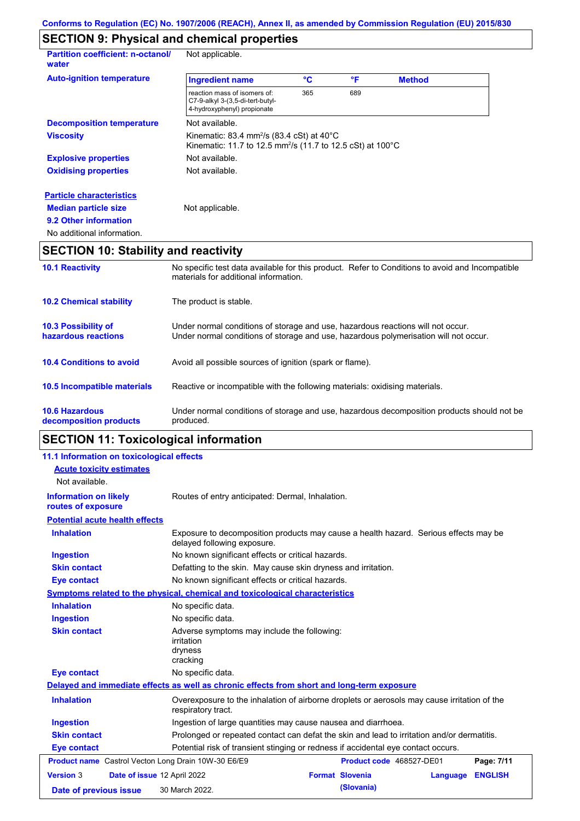# **SECTION 9: Physical and chemical properties**

| <b>Partition coefficient: n-octanol/</b><br>water | Not applicable.                                                                                                                           |     |     |               |  |
|---------------------------------------------------|-------------------------------------------------------------------------------------------------------------------------------------------|-----|-----|---------------|--|
| <b>Auto-ignition temperature</b>                  | <b>Ingredient name</b>                                                                                                                    | °C  | °F  | <b>Method</b> |  |
|                                                   | reaction mass of isomers of:<br>C7-9-alkyl 3-(3,5-di-tert-butyl-<br>4-hydroxyphenyl) propionate                                           | 365 | 689 |               |  |
| <b>Decomposition temperature</b>                  | Not available.                                                                                                                            |     |     |               |  |
| <b>Viscosity</b>                                  | Kinematic: 83.4 mm <sup>2</sup> /s (83.4 cSt) at $40^{\circ}$ C<br>Kinematic: 11.7 to 12.5 mm <sup>2</sup> /s (11.7 to 12.5 cSt) at 100°C |     |     |               |  |
| <b>Explosive properties</b>                       | Not available.                                                                                                                            |     |     |               |  |
| <b>Oxidising properties</b>                       | Not available.                                                                                                                            |     |     |               |  |
| <b>Particle characteristics</b>                   |                                                                                                                                           |     |     |               |  |
| <b>Median particle size</b>                       | Not applicable.                                                                                                                           |     |     |               |  |
| 9.2 Other information                             |                                                                                                                                           |     |     |               |  |
| No additional information.                        |                                                                                                                                           |     |     |               |  |

# **SECTION 10: Stability and reactivity**

| <b>10.1 Reactivity</b>                            | No specific test data available for this product. Refer to Conditions to avoid and Incompatible<br>materials for additional information.                                |
|---------------------------------------------------|-------------------------------------------------------------------------------------------------------------------------------------------------------------------------|
| <b>10.2 Chemical stability</b>                    | The product is stable.                                                                                                                                                  |
| <b>10.3 Possibility of</b><br>hazardous reactions | Under normal conditions of storage and use, hazardous reactions will not occur.<br>Under normal conditions of storage and use, hazardous polymerisation will not occur. |
| <b>10.4 Conditions to avoid</b>                   | Avoid all possible sources of ignition (spark or flame).                                                                                                                |
| 10.5 Incompatible materials                       | Reactive or incompatible with the following materials: oxidising materials.                                                                                             |
| <b>10.6 Hazardous</b><br>decomposition products   | Under normal conditions of storage and use, hazardous decomposition products should not be<br>produced.                                                                 |

# **SECTION 11: Toxicological information**

| 11.1 Information on toxicological effects                  |                                                                                                                     |  |
|------------------------------------------------------------|---------------------------------------------------------------------------------------------------------------------|--|
| <b>Acute toxicity estimates</b>                            |                                                                                                                     |  |
| Not available.                                             |                                                                                                                     |  |
| <b>Information on likely</b><br>routes of exposure         | Routes of entry anticipated: Dermal, Inhalation.                                                                    |  |
| <b>Potential acute health effects</b>                      |                                                                                                                     |  |
| <b>Inhalation</b>                                          | Exposure to decomposition products may cause a health hazard. Serious effects may be<br>delayed following exposure. |  |
| <b>Ingestion</b>                                           | No known significant effects or critical hazards.                                                                   |  |
| <b>Skin contact</b>                                        | Defatting to the skin. May cause skin dryness and irritation.                                                       |  |
| <b>Eye contact</b>                                         | No known significant effects or critical hazards.                                                                   |  |
|                                                            | Symptoms related to the physical, chemical and toxicological characteristics                                        |  |
| <b>Inhalation</b>                                          | No specific data.                                                                                                   |  |
| <b>Ingestion</b>                                           | No specific data.                                                                                                   |  |
| <b>Skin contact</b>                                        | Adverse symptoms may include the following:<br><i>irritation</i><br>dryness<br>cracking                             |  |
| <b>Eye contact</b>                                         | No specific data.                                                                                                   |  |
|                                                            | Delayed and immediate effects as well as chronic effects from short and long-term exposure                          |  |
| <b>Inhalation</b>                                          | Overexposure to the inhalation of airborne droplets or aerosols may cause irritation of the<br>respiratory tract.   |  |
| <b>Ingestion</b>                                           | Ingestion of large quantities may cause nausea and diarrhoea.                                                       |  |
| <b>Skin contact</b>                                        | Prolonged or repeated contact can defat the skin and lead to irritation and/or dermatitis.                          |  |
| <b>Eye contact</b>                                         | Potential risk of transient stinging or redness if accidental eye contact occurs.                                   |  |
| <b>Product name</b> Castrol Vecton Long Drain 10W-30 E6/E9 | Product code 468527-DE01<br>Page: 7/11                                                                              |  |
| <b>Version 3</b>                                           | <b>Format Slovenia</b><br>Date of issue 12 April 2022<br><b>ENGLISH</b><br>Language                                 |  |
| Date of previous issue                                     | (Slovania)<br>30 March 2022.                                                                                        |  |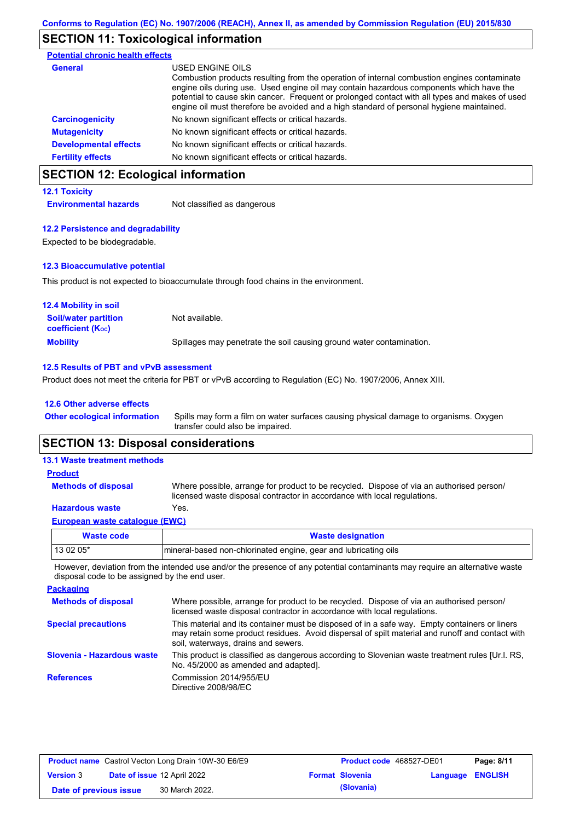## **SECTION 11: Toxicological information**

| <b>Potential chronic health effects</b> |                                                                                                                                                                                                                                                                                                                                                                                                          |
|-----------------------------------------|----------------------------------------------------------------------------------------------------------------------------------------------------------------------------------------------------------------------------------------------------------------------------------------------------------------------------------------------------------------------------------------------------------|
| General                                 | USED ENGINE OILS<br>Combustion products resulting from the operation of internal combustion engines contaminate<br>engine oils during use. Used engine oil may contain hazardous components which have the<br>potential to cause skin cancer. Frequent or prolonged contact with all types and makes of used<br>engine oil must therefore be avoided and a high standard of personal hygiene maintained. |
| <b>Carcinogenicity</b>                  | No known significant effects or critical hazards.                                                                                                                                                                                                                                                                                                                                                        |
| <b>Mutagenicity</b>                     | No known significant effects or critical hazards.                                                                                                                                                                                                                                                                                                                                                        |
| <b>Developmental effects</b>            | No known significant effects or critical hazards.                                                                                                                                                                                                                                                                                                                                                        |
| <b>Fertility effects</b>                | No known significant effects or critical hazards.                                                                                                                                                                                                                                                                                                                                                        |

# **SECTION 12: Ecological information**

### **12.1 Toxicity**

**Environmental hazards** Not classified as dangerous

### **12.2 Persistence and degradability**

Expected to be biodegradable.

### **12.3 Bioaccumulative potential**

This product is not expected to bioaccumulate through food chains in the environment.

| <b>12.4 Mobility in soil</b>                            |                                                                      |
|---------------------------------------------------------|----------------------------------------------------------------------|
| <b>Soil/water partition</b><br><b>coefficient (Koc)</b> | Not available.                                                       |
| <b>Mobility</b>                                         | Spillages may penetrate the soil causing ground water contamination. |

### **12.5 Results of PBT and vPvB assessment**

Product does not meet the criteria for PBT or vPvB according to Regulation (EC) No. 1907/2006, Annex XIII.

| <b>12.6 Other adverse effects</b> |  |  |  |
|-----------------------------------|--|--|--|
|                                   |  |  |  |

Spills may form a film on water surfaces causing physical damage to organisms. Oxygen transfer could also be impaired. **Other ecological information**

### **SECTION 13: Disposal considerations**

| Mosts sade                          | Waata daalanation                                                                                                                                                    |
|-------------------------------------|----------------------------------------------------------------------------------------------------------------------------------------------------------------------|
| European waste catalogue (EWC)      |                                                                                                                                                                      |
| <b>Hazardous waste</b>              | Yes.                                                                                                                                                                 |
| <b>Methods of disposal</b>          | Where possible, arrange for product to be recycled. Dispose of via an authorised person/<br>licensed waste disposal contractor in accordance with local regulations. |
| <b>Product</b>                      |                                                                                                                                                                      |
| <b>13.1 Waste treatment methods</b> |                                                                                                                                                                      |

| Waste code | <b>Waste designation</b>                                        |
|------------|-----------------------------------------------------------------|
| $130205*$  | mineral-based non-chlorinated engine, gear and lubricating oils |

However, deviation from the intended use and/or the presence of any potential contaminants may require an alternative waste disposal code to be assigned by the end user.

| <b>Packaging</b>           |                                                                                                                                                                                                                                         |
|----------------------------|-----------------------------------------------------------------------------------------------------------------------------------------------------------------------------------------------------------------------------------------|
| <b>Methods of disposal</b> | Where possible, arrange for product to be recycled. Dispose of via an authorised person/<br>licensed waste disposal contractor in accordance with local regulations.                                                                    |
| <b>Special precautions</b> | This material and its container must be disposed of in a safe way. Empty containers or liners<br>may retain some product residues. Avoid dispersal of spilt material and runoff and contact with<br>soil, waterways, drains and sewers. |
| Slovenia - Hazardous waste | This product is classified as dangerous according to Slovenian waste treatment rules [Ur.l. RS,<br>No. 45/2000 as amended and adapted].                                                                                                 |
| <b>References</b>          | Commission 2014/955/EU<br>Directive 2008/98/EC                                                                                                                                                                                          |

| <b>Product name</b> Castrol Vecton Long Drain 10W-30 E6/E9 |  |                             | <b>Product code</b> 468527-DE01 | Page: 8/11             |                         |  |
|------------------------------------------------------------|--|-----------------------------|---------------------------------|------------------------|-------------------------|--|
| <b>Version 3</b>                                           |  | Date of issue 12 April 2022 |                                 | <b>Format Slovenia</b> | <b>Language ENGLISH</b> |  |
| Date of previous issue                                     |  | 30 March 2022.              |                                 | (Slovania)             |                         |  |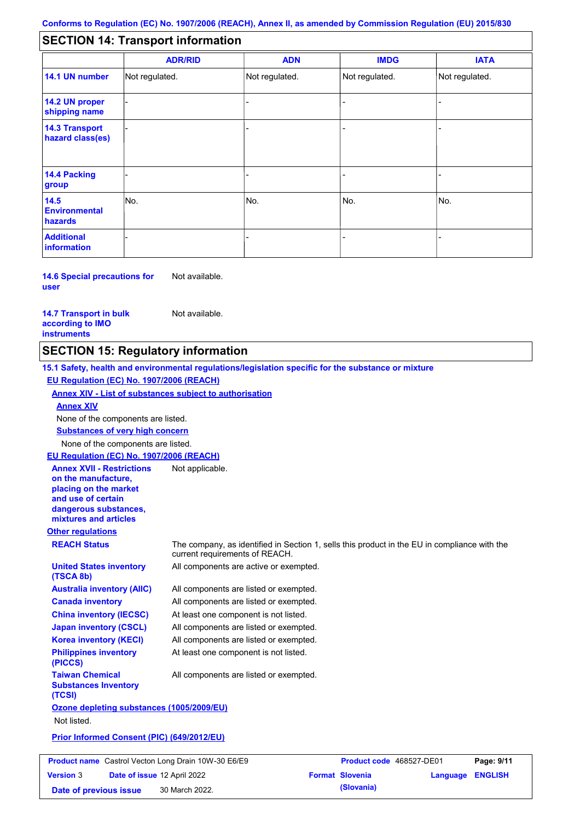#### - - - - - - - - - Not regulated. Not regulated. Not regulated. - - - **SECTION 14: Transport information ADR/RID IMDG IATA 14.1 UN number 14.2 UN proper shipping name 14.3 Transport hazard class(es) 14.4 Packing group ADN Additional information 14.5 Environmental hazards** No. 1980 | No. 1980 | No. 1980 | No. 1980 | No. 1980 | No. 1980 | No. 1980 | No. 1980 | No. 1980 | No. 1980 | Not regulated. - -<br>No. - -

**14.6 Special precautions for user** Not available.

#### **14.7 Transport in bulk according to IMO instruments**

Not available.

# **SECTION 15: Regulatory information**

**Other regulations REACH Status** The company, as identified in Section 1, sells this product in the EU in compliance with the current requirements of REACH. **15.1 Safety, health and environmental regulations/legislation specific for the substance or mixture EU Regulation (EC) No. 1907/2006 (REACH) Annex XIV - List of substances subject to authorisation Substances of very high concern** None of the components are listed. All components are listed or exempted. All components are listed or exempted. At least one component is not listed. All components are listed or exempted. All components are active or exempted. All components are listed or exempted. At least one component is not listed. **United States inventory (TSCA 8b) Australia inventory (AIIC) Canada inventory China inventory (IECSC) Japan inventory (CSCL) Korea inventory (KECI) Philippines inventory (PICCS) Taiwan Chemical Substances Inventory (TCSI)** All components are listed or exempted. **Ozone depleting substances (1005/2009/EU)** Not listed. **Prior Informed Consent (PIC) (649/2012/EU)** None of the components are listed. **Annex XIV EU Regulation (EC) No. 1907/2006 (REACH) Annex XVII - Restrictions on the manufacture, placing on the market and use of certain dangerous substances, mixtures and articles** Not applicable.

| <b>Product name</b> Castrol Vecton Long Drain 10W-30 E6/E9 |  |                             | <b>Product code</b> 468527-DE01 |                        | Page: 9/11              |  |
|------------------------------------------------------------|--|-----------------------------|---------------------------------|------------------------|-------------------------|--|
| <b>Version 3</b>                                           |  | Date of issue 12 April 2022 |                                 | <b>Format Slovenia</b> | <b>Language ENGLISH</b> |  |
| Date of previous issue                                     |  | 30 March 2022.              |                                 | (Slovania)             |                         |  |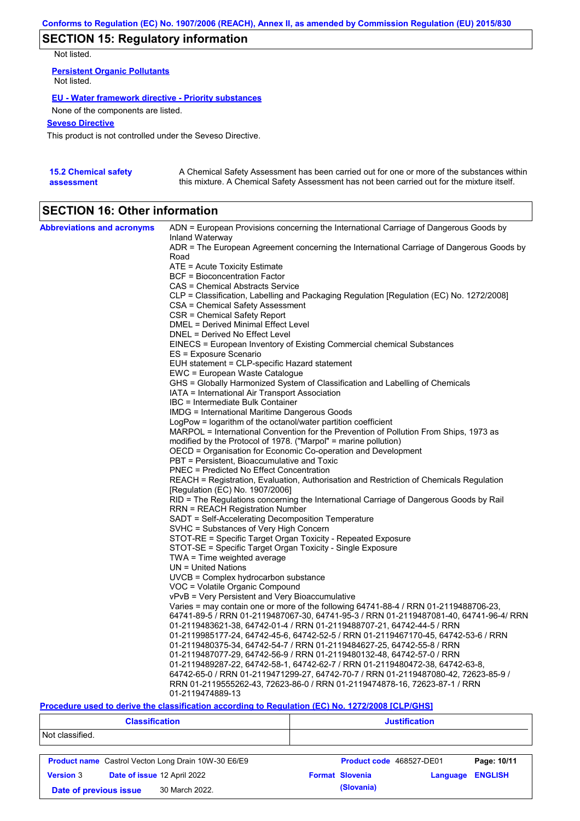# **SECTION 15: Regulatory information**

Not listed.

**Persistent Organic Pollutants** Not listed.

### **EU - Water framework directive - Priority substances**

None of the components are listed.

### **Seveso Directive**

This product is not controlled under the Seveso Directive.

| <b>15.2 Chemical safety</b> | A Chemical Safety Assessment has been carried out for one or more of the substances within  |
|-----------------------------|---------------------------------------------------------------------------------------------|
| assessment                  | this mixture. A Chemical Safety Assessment has not been carried out for the mixture itself. |

# **SECTION 16: Other information**

| <b>Abbreviations and acronyms</b> | ADN = European Provisions concerning the International Carriage of Dangerous Goods by                                           |
|-----------------------------------|---------------------------------------------------------------------------------------------------------------------------------|
|                                   | Inland Waterway<br>ADR = The European Agreement concerning the International Carriage of Dangerous Goods by                     |
|                                   | Road                                                                                                                            |
|                                   | ATE = Acute Toxicity Estimate                                                                                                   |
|                                   | BCF = Bioconcentration Factor                                                                                                   |
|                                   | CAS = Chemical Abstracts Service                                                                                                |
|                                   | CLP = Classification, Labelling and Packaging Regulation [Regulation (EC) No. 1272/2008]                                        |
|                                   | CSA = Chemical Safety Assessment                                                                                                |
|                                   | CSR = Chemical Safety Report                                                                                                    |
|                                   | DMEL = Derived Minimal Effect Level                                                                                             |
|                                   | DNEL = Derived No Effect Level                                                                                                  |
|                                   | EINECS = European Inventory of Existing Commercial chemical Substances                                                          |
|                                   | ES = Exposure Scenario                                                                                                          |
|                                   | EUH statement = CLP-specific Hazard statement                                                                                   |
|                                   | EWC = European Waste Catalogue                                                                                                  |
|                                   | GHS = Globally Harmonized System of Classification and Labelling of Chemicals<br>IATA = International Air Transport Association |
|                                   | IBC = Intermediate Bulk Container                                                                                               |
|                                   | <b>IMDG</b> = International Maritime Dangerous Goods                                                                            |
|                                   | LogPow = logarithm of the octanol/water partition coefficient                                                                   |
|                                   | MARPOL = International Convention for the Prevention of Pollution From Ships, 1973 as                                           |
|                                   | modified by the Protocol of 1978. ("Marpol" = marine pollution)                                                                 |
|                                   | OECD = Organisation for Economic Co-operation and Development                                                                   |
|                                   | PBT = Persistent, Bioaccumulative and Toxic                                                                                     |
|                                   | <b>PNEC</b> = Predicted No Effect Concentration                                                                                 |
|                                   | REACH = Registration, Evaluation, Authorisation and Restriction of Chemicals Regulation                                         |
|                                   | [Regulation (EC) No. 1907/2006]                                                                                                 |
|                                   | RID = The Regulations concerning the International Carriage of Dangerous Goods by Rail                                          |
|                                   | <b>RRN = REACH Registration Number</b>                                                                                          |
|                                   | SADT = Self-Accelerating Decomposition Temperature                                                                              |
|                                   | SVHC = Substances of Very High Concern                                                                                          |
|                                   | STOT-RE = Specific Target Organ Toxicity - Repeated Exposure                                                                    |
|                                   | STOT-SE = Specific Target Organ Toxicity - Single Exposure                                                                      |
|                                   | $TWA = Time$ weighted average<br>$UN = United Nations$                                                                          |
|                                   | UVCB = Complex hydrocarbon substance                                                                                            |
|                                   | VOC = Volatile Organic Compound                                                                                                 |
|                                   | vPvB = Very Persistent and Very Bioaccumulative                                                                                 |
|                                   | Varies = may contain one or more of the following 64741-88-4 / RRN 01-2119488706-23,                                            |
|                                   | 64741-89-5 / RRN 01-2119487067-30, 64741-95-3 / RRN 01-2119487081-40, 64741-96-4/ RRN                                           |
|                                   | 01-2119483621-38, 64742-01-4 / RRN 01-2119488707-21, 64742-44-5 / RRN                                                           |
|                                   | 01-2119985177-24, 64742-45-6, 64742-52-5 / RRN 01-2119467170-45, 64742-53-6 / RRN                                               |
|                                   | 01-2119480375-34, 64742-54-7 / RRN 01-2119484627-25, 64742-55-8 / RRN                                                           |
|                                   | 01-2119487077-29, 64742-56-9 / RRN 01-2119480132-48, 64742-57-0 / RRN                                                           |
|                                   | 01-2119489287-22, 64742-58-1, 64742-62-7 / RRN 01-2119480472-38, 64742-63-8,                                                    |
|                                   | 64742-65-0 / RRN 01-2119471299-27, 64742-70-7 / RRN 01-2119487080-42, 72623-85-9 /                                              |
|                                   | RRN 01-2119555262-43, 72623-86-0 / RRN 01-2119474878-16, 72623-87-1 / RRN                                                       |
|                                   | 01-2119474889-13                                                                                                                |

### **Procedure used to derive the classification according to Regulation (EC) No. 1272/2008 [CLP/GHS]**

|                                          | <b>Classification</b>                                      | <b>Justification</b>     |          |                |
|------------------------------------------|------------------------------------------------------------|--------------------------|----------|----------------|
| Not classified.                          |                                                            |                          |          |                |
|                                          | <b>Product name</b> Castrol Vecton Long Drain 10W-30 E6/E9 | Product code 468527-DE01 |          | Page: 10/11    |
| <b>Version 3</b>                         | Date of issue 12 April 2022                                | <b>Format Slovenia</b>   | Language | <b>ENGLISH</b> |
| 30 March 2022.<br>Date of previous issue |                                                            | (Slovania)               |          |                |